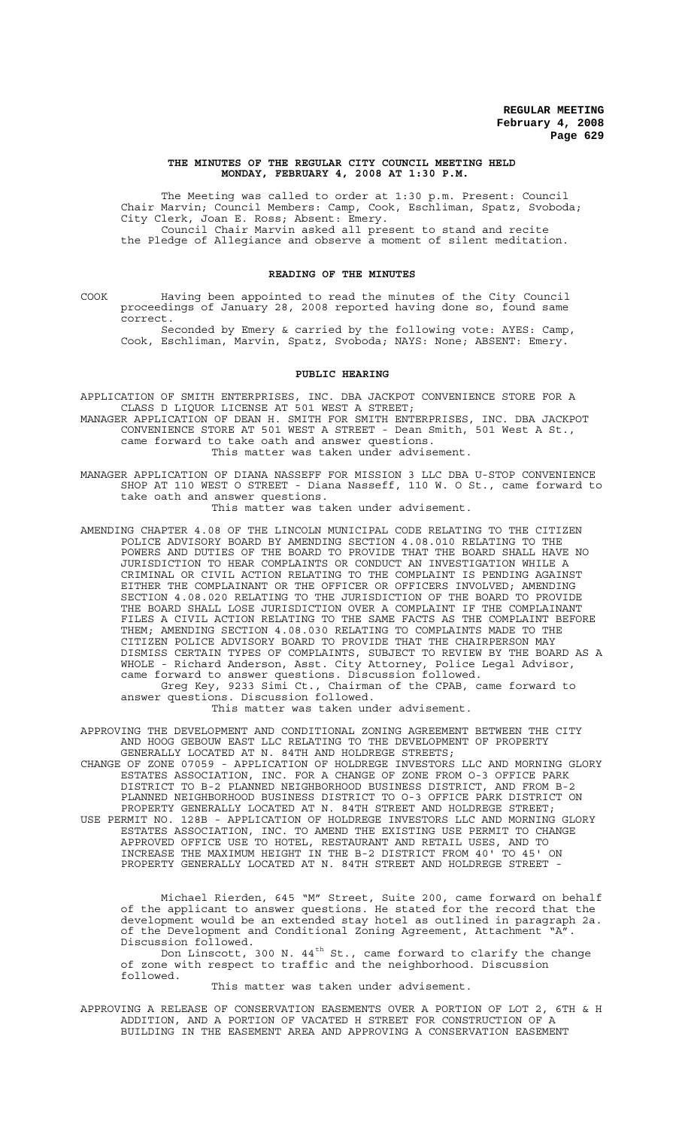#### **THE MINUTES OF THE REGULAR CITY COUNCIL MEETING HELD MONDAY, FEBRUARY 4, 2008 AT 1:30 P.M.**

The Meeting was called to order at 1:30 p.m. Present: Council Chair Marvin; Council Members: Camp, Cook, Eschliman, Spatz, Svoboda; City Clerk, Joan E. Ross; Absent: Emery. Council Chair Marvin asked all present to stand and recite the Pledge of Allegiance and observe a moment of silent meditation.

#### **READING OF THE MINUTES**

COOK Having been appointed to read the minutes of the City Council proceedings of January 28, 2008 reported having done so, found same correct.

Seconded by Emery & carried by the following vote: AYES: Camp, Cook, Eschliman, Marvin, Spatz, Svoboda; NAYS: None; ABSENT: Emery.

# **PUBLIC HEARING**

APPLICATION OF SMITH ENTERPRISES, INC. DBA JACKPOT CONVENIENCE STORE FOR A CLASS D LIQUOR LICENSE AT 501 WEST A STREET; MANAGER APPLICATION OF DEAN H. SMITH FOR SMITH ENTERPRISES, INC. DBA JACKPOT CONVENIENCE STORE AT 501 WEST A STREET - Dean Smith, 501 West A St., came forward to take oath and answer questions. This matter was taken under advisement.

MANAGER APPLICATION OF DIANA NASSEFF FOR MISSION 3 LLC DBA U-STOP CONVENIENCE SHOP AT 110 WEST O STREET - Diana Nasseff, 110 W. O St., came forward to take oath and answer questions.

This matter was taken under advisement.

AMENDING CHAPTER 4.08 OF THE LINCOLN MUNICIPAL CODE RELATING TO THE CITIZEN POLICE ADVISORY BOARD BY AMENDING SECTION 4.08.010 RELATING TO THE POWERS AND DUTIES OF THE BOARD TO PROVIDE THAT THE BOARD SHALL HAVE NO JURISDICTION TO HEAR COMPLAINTS OR CONDUCT AN INVESTIGATION WHILE A CRIMINAL OR CIVIL ACTION RELATING TO THE COMPLAINT IS PENDING AGAINST EITHER THE COMPLAINANT OR THE OFFICER OR OFFICERS INVOLVED; AMENDING SECTION 4.08.020 RELATING TO THE JURISDICTION OF THE BOARD TO PROVIDE THE BOARD SHALL LOSE JURISDICTION OVER A COMPLAINT IF THE COMPLAINANT FILES A CIVIL ACTION RELATING TO THE SAME FACTS AS THE COMPLAINT BEFORE THEM; AMENDING SECTION 4.08.030 RELATING TO COMPLAINTS MADE TO THE CITIZEN POLICE ADVISORY BOARD TO PROVIDE THAT THE CHAIRPERSON MAY DISMISS CERTAIN TYPES OF COMPLAINTS, SUBJECT TO REVIEW BY THE BOARD AS A WHOLE - Richard Anderson, Asst. City Attorney, Police Legal Advisor, came forward to answer questions. Discussion followed. Greg Key, 9233 Simi Ct., Chairman of the CPAB, came forward to answer questions. Discussion followed.

This matter was taken under advisement.

APPROVING THE DEVELOPMENT AND CONDITIONAL ZONING AGREEMENT BETWEEN THE CITY AND HOOG GEBOUW EAST LLC RELATING TO THE DEVELOPMENT OF PROPERTY GENERALLY LOCATED AT N. 84TH AND HOLDREGE STREETS;

CHANGE OF ZONE 07059 - APPLICATION OF HOLDREGE INVESTORS LLC AND MORNING GLORY ESTATES ASSOCIATION, INC. FOR A CHANGE OF ZONE FROM O-3 OFFICE PARK DISTRICT TO B-2 PLANNED NEIGHBORHOOD BUSINESS DISTRICT, AND FROM B-2 PLANNED NEIGHBORHOOD BUSINESS DISTRICT TO O-3 OFFICE PARK DISTRICT ON PROPERTY GENERALLY LOCATED AT N. 84TH STREET AND HOLDREGE STREET; USE PERMIT NO. 128B - APPLICATION OF HOLDREGE INVESTORS LLC AND MORNING GLORY

ESTATES ASSOCIATION, INC. TO AMEND THE EXISTING USE PERMIT TO CHANGE APPROVED OFFICE USE TO HOTEL, RESTAURANT AND RETAIL USES, AND TO INCREASE THE MAXIMUM HEIGHT IN THE B-2 DISTRICT FROM 40' TO 45' ON PROPERTY GENERALLY LOCATED AT N. 84TH STREET AND HOLDREGE STREET -

Michael Rierden, 645 "M" Street, Suite 200, came forward on behalf of the applicant to answer questions. He stated for the record that the development would be an extended stay hotel as outlined in paragraph 2a. of the Development and Conditional Zoning Agreement, Attachment "A" Discussion followed.

Don Linscott, 300 N. 44 $^{\rm th}$  St., came forward to clarify the change of zone with respect to traffic and the neighborhood. Discussion followed.

## This matter was taken under advisement.

APPROVING A RELEASE OF CONSERVATION EASEMENTS OVER A PORTION OF LOT 2, 6TH & H ADDITION, AND A PORTION OF VACATED H STREET FOR CONSTRUCTION OF A BUILDING IN THE EASEMENT AREA AND APPROVING A CONSERVATION EASEMENT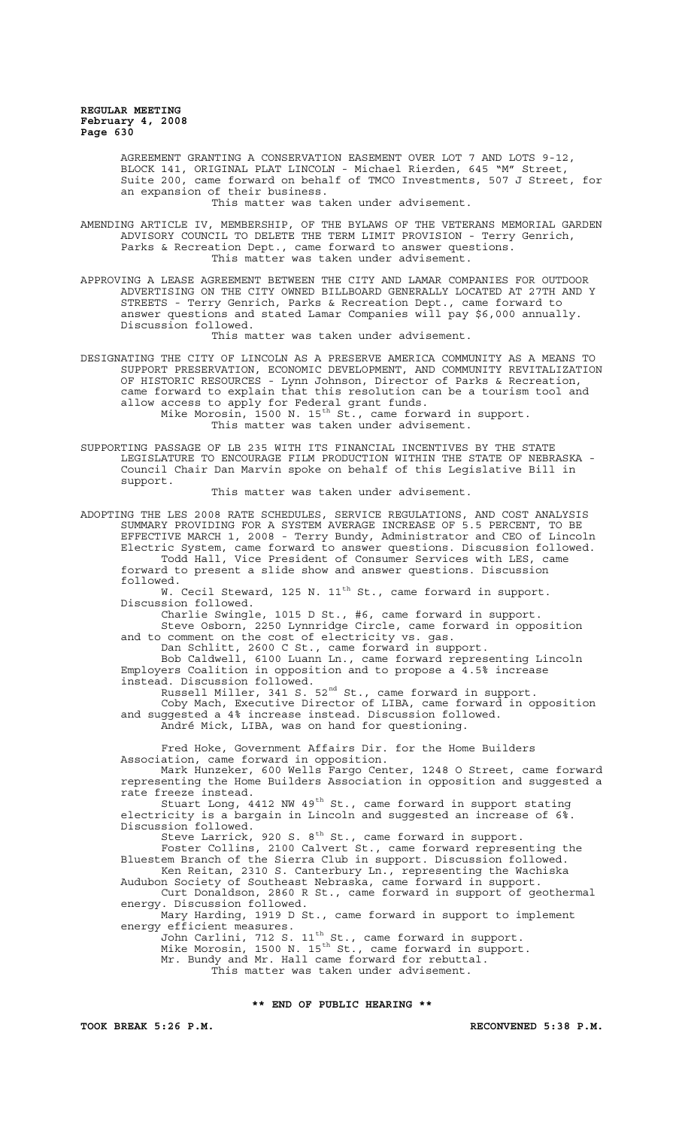> AGREEMENT GRANTING A CONSERVATION EASEMENT OVER LOT 7 AND LOTS 9-12, BLOCK 141, ORIGINAL PLAT LINCOLN - Michael Rierden, 645 "M" Street, Suite 200, came forward on behalf of TMCO Investments, 507 J Street, for an expansion of their business.

This matter was taken under advisement.

AMENDING ARTICLE IV, MEMBERSHIP, OF THE BYLAWS OF THE VETERANS MEMORIAL GARDEN ADVISORY COUNCIL TO DELETE THE TERM LIMIT PROVISION - Terry Genrich, Parks & Recreation Dept., came forward to answer questions. This matter was taken under advisement.

APPROVING A LEASE AGREEMENT BETWEEN THE CITY AND LAMAR COMPANIES FOR OUTDOOR ADVERTISING ON THE CITY OWNED BILLBOARD GENERALLY LOCATED AT 27TH AND Y STREETS - Terry Genrich, Parks & Recreation Dept., came forward to answer questions and stated Lamar Companies will pay \$6,000 annually. Discussion followed.

This matter was taken under advisement.

DESIGNATING THE CITY OF LINCOLN AS A PRESERVE AMERICA COMMUNITY AS A MEANS TO SUPPORT PRESERVATION, ECONOMIC DEVELOPMENT, AND COMMUNITY REVITALIZATION OF HISTORIC RESOURCES - Lynn Johnson, Director of Parks & Recreation, came forward to explain that this resolution can be a tourism tool and allow access to apply for Federal grant funds.

Mike Morosin, 1500 N. 15<sup>th</sup> St., came forward in support. This matter was taken under advisement.

SUPPORTING PASSAGE OF LB 235 WITH ITS FINANCIAL INCENTIVES BY THE STATE LEGISLATURE TO ENCOURAGE FILM PRODUCTION WITHIN THE STATE OF NEBRASKA - Council Chair Dan Marvin spoke on behalf of this Legislative Bill in support.

This matter was taken under advisement.

ADOPTING THE LES 2008 RATE SCHEDULES, SERVICE REGULATIONS, AND COST ANALYSIS SUMMARY PROVIDING FOR A SYSTEM AVERAGE INCREASE OF 5.5 PERCENT, TO BE EFFECTIVE MARCH 1, 2008 - Terry Bundy, Administrator and CEO of Lincoln Electric System, came forward to answer questions. Discussion followed. Todd Hall, Vice President of Consumer Services with LES, came forward to present a slide show and answer questions. Discussion followed.

w...<br>W. Cecil Steward, 125 N. 11<sup>th</sup> St., came forward in support. Discussion followed.

Charlie Swingle, 1015 D St., #6, came forward in support. Steve Osborn, 2250 Lynnridge Circle, came forward in opposition and to comment on the cost of electricity vs. gas.

Dan Schlitt, 2600 C St., came forward in support.

Bob Caldwell, 6100 Luann Ln., came forward representing Lincoln Employers Coalition in opposition and to propose a 4.5% increase instead. Discussion followed.

Russell Miller, 341 S.  $52^{\text{nd}}$  St., came forward in support.

Coby Mach, Executive Director of LIBA, came forward in opposition and suggested a 4% increase instead. Discussion followed.

André Mick, LIBA, was on hand for questioning.

Fred Hoke, Government Affairs Dir. for the Home Builders Association, came forward in opposition.

Mark Hunzeker, 600 Wells Fargo Center, 1248 O Street, came forward representing the Home Builders Association in opposition and suggested a rate freeze instead.

Stuart Long, 4412 NW 49<sup>th</sup> St., came forward in support stating electricity is a bargain in Lincoln and suggested an increase of 6%. Discussion followed.

Steve Larrick, 920 S.  $8^{\text{th}}$  St., came forward in support.

Foster Collins, 2100 Calvert St., came forward representing the Bluestem Branch of the Sierra Club in support. Discussion followed. Ken Reitan, 2310 S. Canterbury Ln., representing the Wachiska Audubon Society of Southeast Nebraska, came forward in support.

Curt Donaldson, 2860 R St., came forward in support of geothermal energy. Discussion followed.

Mary Harding, 1919 D St., came forward in support to implement energy efficient measures.

John Carlini, 712 S.  $11^{\text{th}}$  St., came forward in support. Mike Morosin, 1500 N. 15<sup>th</sup> St., came forward in support. Mr. Bundy and Mr. Hall came forward for rebuttal.

This matter was taken under advisement.

# **\*\* END OF PUBLIC HEARING \*\***

**TOOK BREAK 5:26 P.M. RECONVENED 5:38 P.M.**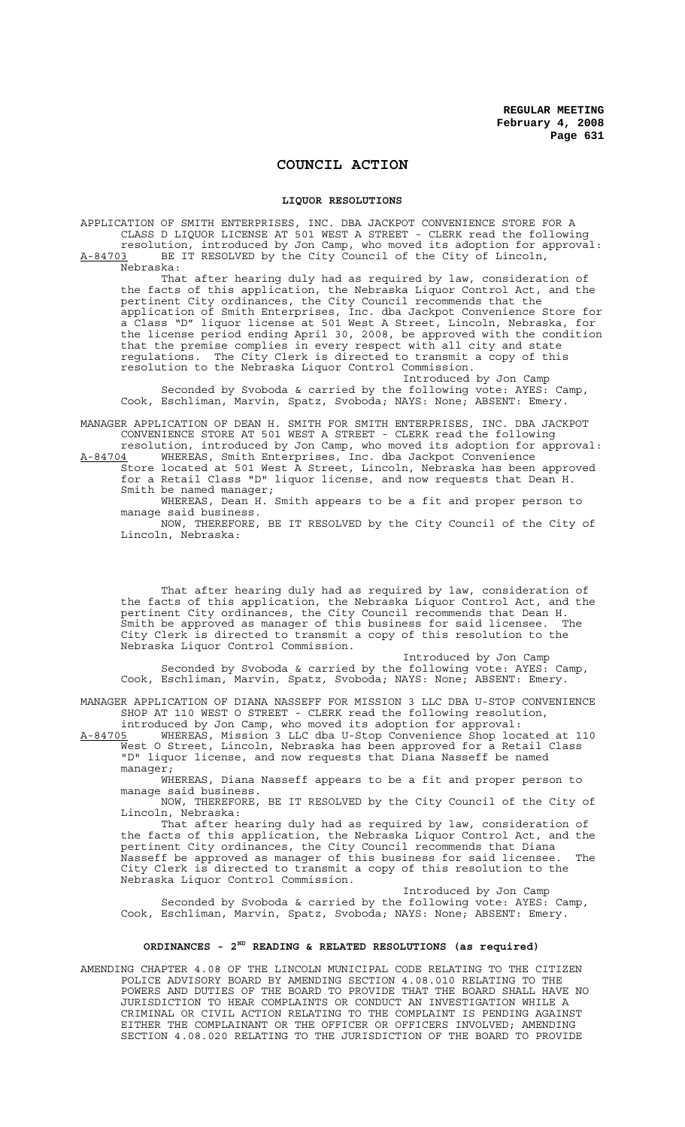# **COUNCIL ACTION**

## **LIQUOR RESOLUTIONS**

APPLICATION OF SMITH ENTERPRISES, INC. DBA JACKPOT CONVENIENCE STORE FOR A CLASS D LIQUOR LICENSE AT 501 WEST A STREET - CLERK read the following resolution, introduced by Jon Camp, who moved its adoption for approval: A-84703 BE IT RESOLVED by the City Council of the City of Lincoln, Nebraska: That after hearing duly had as required by law, consideration of

the facts of this application, the Nebraska Liquor Control Act, and the pertinent City ordinances, the City Council recommends that the application of Smith Enterprises, Inc. dba Jackpot Convenience Store for a Class "D" liquor license at 501 West A Street, Lincoln, Nebraska, for the license period ending April 30, 2008, be approved with the condition that the premise complies in every respect with all city and state regulations. The City Clerk is directed to transmit a copy of this resolution to the Nebraska Liquor Control Commission.

Introduced by Jon Camp

Seconded by Svoboda & carried by the following vote: AYES: Camp, Cook, Eschliman, Marvin, Spatz, Svoboda; NAYS: None; ABSENT: Emery.

MANAGER APPLICATION OF DEAN H. SMITH FOR SMITH ENTERPRISES, INC. DBA JACKPOT CONVENIENCE STORE AT 501 WEST A STREET - CLERK read the following

resolution, introduced by Jon Camp, who moved its adoption for approval: A-84704 WHEREAS, Smith Enterprises, Inc. dba Jackpot Convenience

Store located at 501 West A Street, Lincoln, Nebraska has been approved for a Retail Class "D" liquor license, and now requests that Dean H. Smith be named manager;

WHEREAS, Dean H. Smith appears to be a fit and proper person to manage said business.

NOW, THEREFORE, BE IT RESOLVED by the City Council of the City of Lincoln, Nebraska:

That after hearing duly had as required by law, consideration of the facts of this application, the Nebraska Liquor Control Act, and the pertinent City ordinances, the City Council recommends that Dean H. Smith be approved as manager of this business for said licensee. The City Clerk is directed to transmit a copy of this resolution to the Nebraska Liquor Control Commission.

Introduced by Jon Camp Seconded by Svoboda & carried by the following vote: AYES: Camp, Cook, Eschliman, Marvin, Spatz, Svoboda; NAYS: None; ABSENT: Emery.

MANAGER APPLICATION OF DIANA NASSEFF FOR MISSION 3 LLC DBA U-STOP CONVENIENCE SHOP AT 110 WEST O STREET - CLERK read the following resolution,

introduced by Jon Camp, who moved its adoption for approval: A-84705 WHEREAS, Mission 3 LLC dba U-Stop Convenience Shop located at 110 West O Street, Lincoln, Nebraska has been approved for a Retail Class "D" liquor license, and now requests that Diana Nasseff be named manager;

WHEREAS, Diana Nasseff appears to be a fit and proper person to manage said business.

NOW, THEREFORE, BE IT RESOLVED by the City Council of the City of Lincoln, Nebraska:

That after hearing duly had as required by law, consideration of the facts of this application, the Nebraska Liquor Control Act, and the pertinent City ordinances, the City Council recommends that Diana Nasseff be approved as manager of this business for said licensee. The City Clerk is directed to transmit a copy of this resolution to the Nebraska Liquor Control Commission.

Introduced by Jon Camp Seconded by Svoboda & carried by the following vote: AYES: Camp, Cook, Eschliman, Marvin, Spatz, Svoboda; NAYS: None; ABSENT: Emery.

# **ORDINANCES - 2ND READING & RELATED RESOLUTIONS (as required)**

AMENDING CHAPTER 4.08 OF THE LINCOLN MUNICIPAL CODE RELATING TO THE CITIZEN POLICE ADVISORY BOARD BY AMENDING SECTION 4.08.010 RELATING TO THE POWERS AND DUTIES OF THE BOARD TO PROVIDE THAT THE BOARD SHALL HAVE NO JURISDICTION TO HEAR COMPLAINTS OR CONDUCT AN INVESTIGATION WHILE A CRIMINAL OR CIVIL ACTION RELATING TO THE COMPLAINT IS PENDING AGAINST EITHER THE COMPLAINANT OR THE OFFICER OR OFFICERS INVOLVED; AMENDING SECTION 4.08.020 RELATING TO THE JURISDICTION OF THE BOARD TO PROVIDE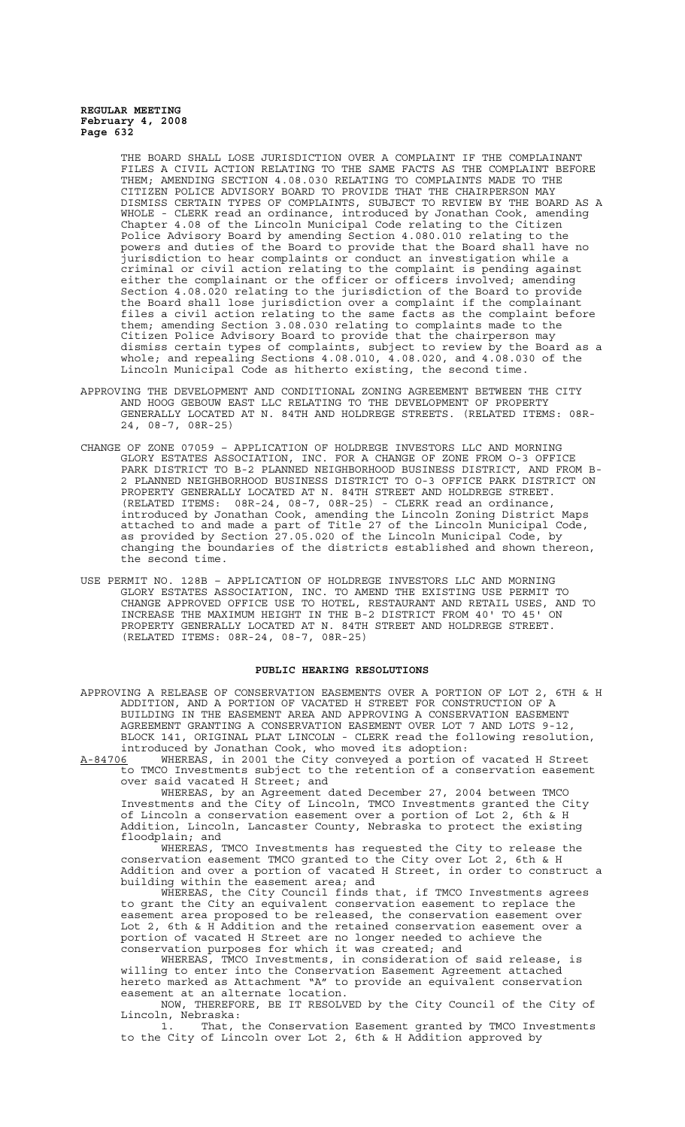THE BOARD SHALL LOSE JURISDICTION OVER A COMPLAINT IF THE COMPLAINANT FILES A CIVIL ACTION RELATING TO THE SAME FACTS AS THE COMPLAINT BEFORE THEM; AMENDING SECTION 4.08.030 RELATING TO COMPLAINTS MADE TO THE CITIZEN POLICE ADVISORY BOARD TO PROVIDE THAT THE CHAIRPERSON MAY DISMISS CERTAIN TYPES OF COMPLAINTS, SUBJECT TO REVIEW BY THE BOARD AS A WHOLE - CLERK read an ordinance, introduced by Jonathan Cook, amending Chapter 4.08 of the Lincoln Municipal Code relating to the Citizen Police Advisory Board by amending Section 4.080.010 relating to the powers and duties of the Board to provide that the Board shall have no jurisdiction to hear complaints or conduct an investigation while a criminal or civil action relating to the complaint is pending against either the complainant or the officer or officers involved; amending Section 4.08.020 relating to the jurisdiction of the Board to provide the Board shall lose jurisdiction over a complaint if the complainant files a civil action relating to the same facts as the complaint before them; amending Section 3.08.030 relating to complaints made to the Citizen Police Advisory Board to provide that the chairperson may dismiss certain types of complaints, subject to review by the Board as a whole; and repealing Sections 4.08.010, 4.08.020, and 4.08.030 of the Lincoln Municipal Code as hitherto existing, the second time.

- APPROVING THE DEVELOPMENT AND CONDITIONAL ZONING AGREEMENT BETWEEN THE CITY AND HOOG GEBOUW EAST LLC RELATING TO THE DEVELOPMENT OF PROPERTY GENERALLY LOCATED AT N. 84TH AND HOLDREGE STREETS. (RELATED ITEMS: 08R-24, 08-7, 08R-25)
- CHANGE OF ZONE 07059 APPLICATION OF HOLDREGE INVESTORS LLC AND MORNING GLORY ESTATES ASSOCIATION, INC. FOR A CHANGE OF ZONE FROM O-3 OFFICE PARK DISTRICT TO B-2 PLANNED NEIGHBORHOOD BUSINESS DISTRICT, AND FROM B-2 PLANNED NEIGHBORHOOD BUSINESS DISTRICT TO O-3 OFFICE PARK DISTRICT ON PROPERTY GENERALLY LOCATED AT N. 84TH STREET AND HOLDREGE STREET. (RELATED ITEMS: 08R-24, 08-7, 08R-25) - CLERK read an ordinance, introduced by Jonathan Cook, amending the Lincoln Zoning District Maps attached to and made a part of Title 27 of the Lincoln Municipal Code, as provided by Section 27.05.020 of the Lincoln Municipal Code, by changing the boundaries of the districts established and shown thereon, the second time.
- USE PERMIT NO. 128B APPLICATION OF HOLDREGE INVESTORS LLC AND MORNING GLORY ESTATES ASSOCIATION, INC. TO AMEND THE EXISTING USE PERMIT TO CHANGE APPROVED OFFICE USE TO HOTEL, RESTAURANT AND RETAIL USES, AND TO INCREASE THE MAXIMUM HEIGHT IN THE B-2 DISTRICT FROM 40' TO 45' ON PROPERTY GENERALLY LOCATED AT N. 84TH STREET AND HOLDREGE STREET. (RELATED ITEMS: 08R-24, 08-7, 08R-25)

## **PUBLIC HEARING RESOLUTIONS**

APPROVING A RELEASE OF CONSERVATION EASEMENTS OVER A PORTION OF LOT 2, 6TH & H ADDITION, AND A PORTION OF VACATED H STREET FOR CONSTRUCTION OF A BUILDING IN THE EASEMENT AREA AND APPROVING A CONSERVATION EASEMENT AGREEMENT GRANTING A CONSERVATION EASEMENT OVER LOT 7 AND LOTS 9-12, BLOCK 141, ORIGINAL PLAT LINCOLN - CLERK read the following resolution, introduced by Jonathan Cook, who moved its adoption:

A-84706 WHEREAS, in 2001 the City conveyed a portion of vacated H Street to TMCO Investments subject to the retention of a conservation easement over said vacated H Street; and

WHEREAS, by an Agreement dated December 27, 2004 between TMCO Investments and the City of Lincoln, TMCO Investments granted the City of Lincoln a conservation easement over a portion of Lot 2, 6th & H Addition, Lincoln, Lancaster County, Nebraska to protect the existing floodplain; and

WHEREAS, TMCO Investments has requested the City to release the conservation easement TMCO granted to the City over Lot 2, 6th & H Addition and over a portion of vacated H Street, in order to construct a building within the easement area; and

WHEREAS, the City Council finds that, if TMCO Investments agrees to grant the City an equivalent conservation easement to replace the easement area proposed to be released, the conservation easement over Lot 2, 6th & H Addition and the retained conservation easement over a portion of vacated H Street are no longer needed to achieve the conservation purposes for which it was created; and

WHEREAS, TMCO Investments, in consideration of said release, is willing to enter into the Conservation Easement Agreement attached hereto marked as Attachment "A" to provide an equivalent conservation easement at an alternate location.

NOW, THEREFORE, BE IT RESOLVED by the City Council of the City of Lincoln, Nebraska:<br>1. That,

1. That, the Conservation Easement granted by TMCO Investments to the City of Lincoln over Lot 2, 6th & H Addition approved by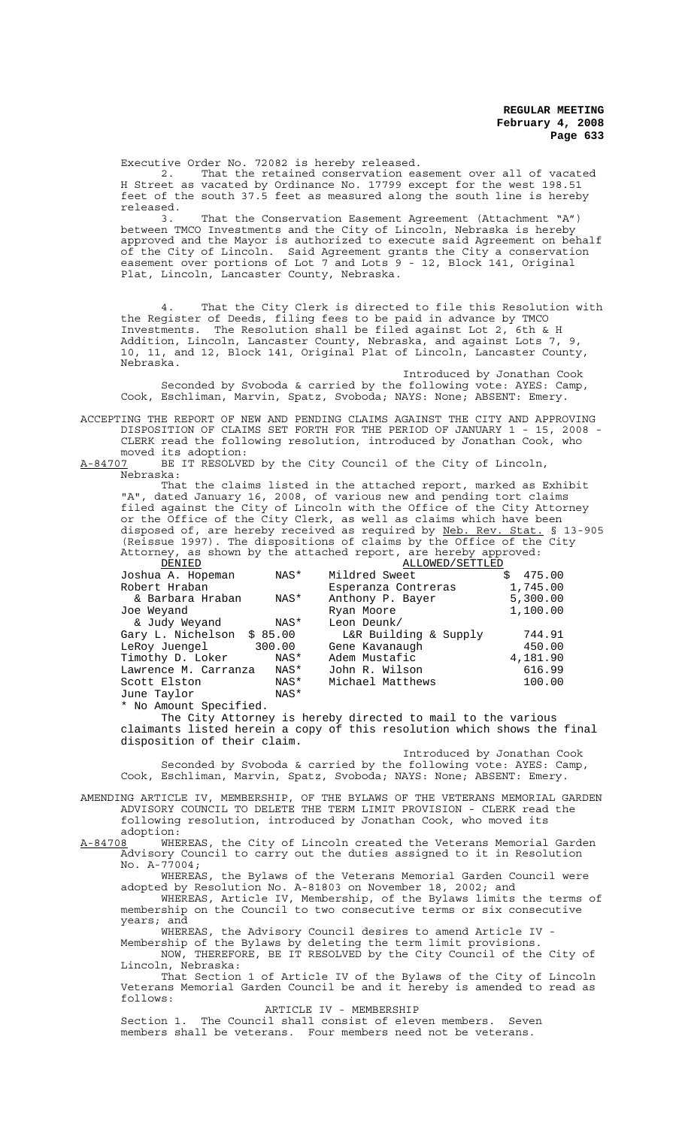Executive Order No. 72082 is hereby released.<br>2. That the retained conservation easement over all of vacated 2. That the retained conservation easement over all of vacated H Street as vacated by Ordinance No. 17799 except for the west 198.51 feet of the south 37.5 feet as measured along the south line is hereby released.

3. That the Conservation Easement Agreement (Attachment "A") between TMCO Investments and the City of Lincoln, Nebraska is hereby approved and the Mayor is authorized to execute said Agreement on behalf of the City of Lincoln. Said Agreement grants the City a conservation easement over portions of Lot 7 and Lots 9 - 12, Block 141, Original Plat, Lincoln, Lancaster County, Nebraska.

4. That the City Clerk is directed to file this Resolution with the Register of Deeds, filing fees to be paid in advance by TMCO Investments. The Resolution shall be filed against Lot 2, 6th & H Addition, Lincoln, Lancaster County, Nebraska, and against Lots 7, 9, 10, 11, and 12, Block 141, Original Plat of Lincoln, Lancaster County, Nebraska.

Introduced by Jonathan Cook Seconded by Svoboda & carried by the following vote: AYES: Camp, Cook, Eschliman, Marvin, Spatz, Svoboda; NAYS: None; ABSENT: Emery.

ACCEPTING THE REPORT OF NEW AND PENDING CLAIMS AGAINST THE CITY AND APPROVING DISPOSITION OF CLAIMS SET FORTH FOR THE PERIOD OF JANUARY 1 - 15, 2008 - CLERK read the following resolution, introduced by Jonathan Cook, who

moved its adoption:<br>A-84707 BE IT RESOLVE BE IT RESOLVED by the City Council of the City of Lincoln, Nebraska:

That the claims listed in the attached report, marked as Exhibit "A", dated January 16, 2008, of various new and pending tort claims filed against the City of Lincoln with the Office of the City Attorney or the Office of the City Clerk, as well as claims which have been disposed of, are hereby received as required by Neb. Rev. Stat. § 13-905 (Reissue 1997). The dispositions of claims by the Office of the City Attorney, as shown by the attached report, are hereby approved:

| DENIED                       |        | ALLOWED/SETTLED       |              |
|------------------------------|--------|-----------------------|--------------|
| Joshua A. Hopeman            | NAS*   | Mildred Sweet         | 475.00<br>Ŝ. |
| Robert Hraban                |        | Esperanza Contreras   | 1,745.00     |
| & Barbara Hraban             | NAS*   | Anthony P. Bayer      | 5,300.00     |
| Joe Weyand                   |        | Ryan Moore            | 1,100.00     |
| & Judy Weyand                | NAS*   | Leon Deunk/           |              |
| Gary L. Nichelson<br>\$85.00 |        | L&R Building & Supply | 744.91       |
| LeRoy Juengel                | 300.00 | Gene Kavanaugh        | 450.00       |
| Timothy D. Loker             | NAS*   | Adem Mustafic         | 4,181.90     |
| Lawrence M. Carranza         | NAS*   | John R. Wilson        | 616.99       |
| Scott Elston                 | NAS*   | Michael Matthews      | 100.00       |
| June Taylor                  | NAS*   |                       |              |

\* No Amount Specified.

The City Attorney is hereby directed to mail to the various claimants listed herein a copy of this resolution which shows the final disposition of their claim.

Introduced by Jonathan Cook Seconded by Svoboda & carried by the following vote: AYES: Camp, Cook, Eschliman, Marvin, Spatz, Svoboda; NAYS: None; ABSENT: Emery.

AMENDING ARTICLE IV, MEMBERSHIP, OF THE BYLAWS OF THE VETERANS MEMORIAL GARDEN ADVISORY COUNCIL TO DELETE THE TERM LIMIT PROVISION - CLERK read the following resolution, introduced by Jonathan Cook, who moved its

:adoption<br>A-84708 WHE A-84708 <sup>I</sup> WHEREAS, the City of Lincoln created the Veterans Memorial Garden Advisory Council to carry out the duties assigned to it in Resolution No. A-77004;

WHEREAS, the Bylaws of the Veterans Memorial Garden Council were adopted by Resolution No. A-81803 on November 18, 2002; and

WHEREAS, Article IV, Membership, of the Bylaws limits the terms of membership on the Council to two consecutive terms or six consecutive years; and

WHEREAS, the Advisory Council desires to amend Article IV -

Membership of the Bylaws by deleting the term limit provisions. NOW, THEREFORE, BE IT RESOLVED by the City Council of the City of

Lincoln, Nebraska:

That Section 1 of Article IV of the Bylaws of the City of Lincoln Veterans Memorial Garden Council be and it hereby is amended to read as follows:

ARTICLE IV - MEMBERSHIP

Section 1. The Council shall consist of eleven members. Seven members shall be veterans. Four members need not be veterans.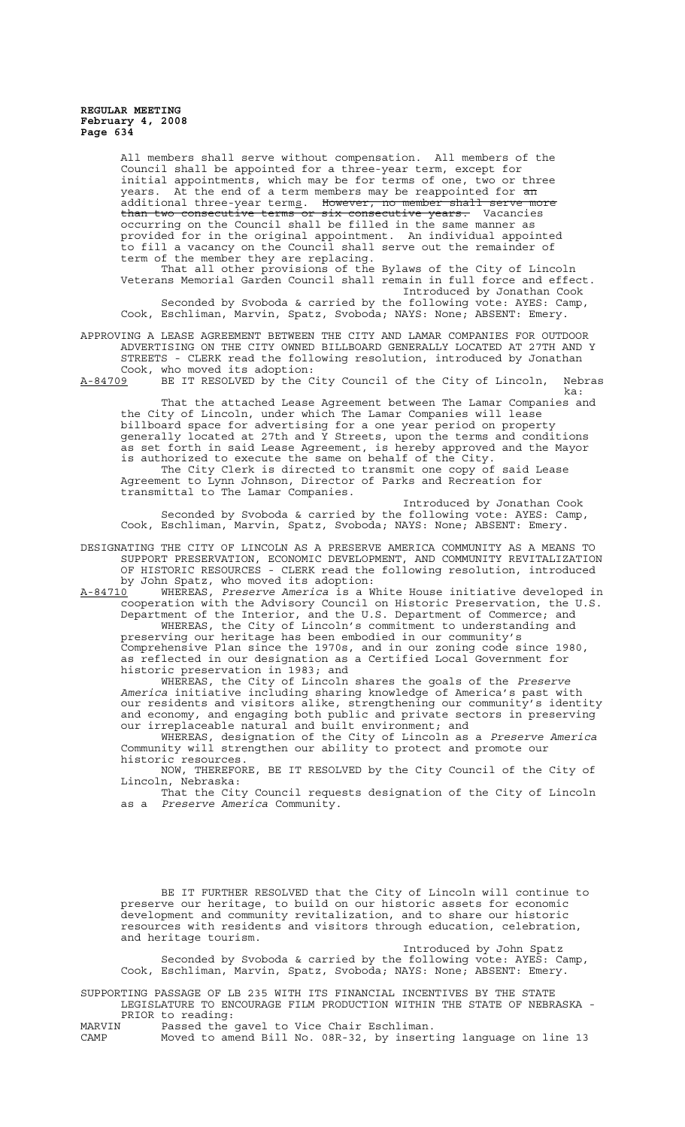All members shall serve without compensation. All members of the Council shall be appointed for a three-year term, except for initial appointments, which may be for terms of one, two or three years. At the end of a term members may be reappointed for <del>an</del> additional three-year terms. However, no member shall serve more than two consecutive terms or six consecutive years. Vacancies occurring on the Council shall be filled in the same manner as provided for in the original appointment. An individual appointed to fill a vacancy on the Council shall serve out the remainder of term of the member they are replacing. That all other provisions of the Bylaws of the City of Lincoln

Veterans Memorial Garden Council shall remain in full force and effect. Introduced by Jonathan Cook Seconded by Svoboda & carried by the following vote: AYES: Camp, Cook, Eschliman, Marvin, Spatz, Svoboda; NAYS: None; ABSENT: Emery.

APPROVING A LEASE AGREEMENT BETWEEN THE CITY AND LAMAR COMPANIES FOR OUTDOOR ADVERTISING ON THE CITY OWNED BILLBOARD GENERALLY LOCATED AT 27TH AND Y STREETS - CLERK read the following resolution, introduced by Jonathan Cook, who moved its adoption:

A-84709 BE IT RESOLVED by the City Council of the City of Lincoln, Nebras ka:

That the attached Lease Agreement between The Lamar Companies and the City of Lincoln, under which The Lamar Companies will lease billboard space for advertising for a one year period on property generally located at 27th and Y Streets, upon the terms and conditions as set forth in said Lease Agreement, is hereby approved and the Mayor is authorized to execute the same on behalf of the City. The City Clerk is directed to transmit one copy of said Lease

Agreement to Lynn Johnson, Director of Parks and Recreation for transmittal to The Lamar Companies.

Introduced by Jonathan Cook Seconded by Svoboda & carried by the following vote: AYES: Camp, Cook, Eschliman, Marvin, Spatz, Svoboda; NAYS: None; ABSENT: Emery.

DESIGNATING THE CITY OF LINCOLN AS A PRESERVE AMERICA COMMUNITY AS A MEANS TO SUPPORT PRESERVATION, ECONOMIC DEVELOPMENT, AND COMMUNITY REVITALIZATION OF HISTORIC RESOURCES - CLERK read the following resolution, introduced by John Spatz, who moved its adoption:

A-84710 WHEREAS, *Preserve America* is a White House initiative developed in A-84710 WHEREAS, Preserve America is a White House initiative developed in<br>cooperation with the Advisory Council on Historic Preservation, the U.S. Department of the Interior, and the U.S. Department of Commerce; and WHEREAS, the City of Lincoln's commitment to understanding and preserving our heritage has been embodied in our community's Comprehensive Plan since the 1970s, and in our zoning code since 1980, as reflected in our designation as a Certified Local Government for historic preservation in 1983; and

WHEREAS, the City of Lincoln shares the goals of the *Preserve America* initiative including sharing knowledge of America's past with our residents and visitors alike, strengthening our community's identity and economy, and engaging both public and private sectors in preserving our irreplaceable natural and built environment; and

WHEREAS, designation of the City of Lincoln as a *Preserve America* Community will strengthen our ability to protect and promote our historic resources.

NOW, THEREFORE, BE IT RESOLVED by the City Council of the City of Lincoln, Nebraska:

That the City Council requests designation of the City of Lincoln as a *Preserve America* Community.

BE IT FURTHER RESOLVED that the City of Lincoln will continue to preserve our heritage, to build on our historic assets for economic development and community revitalization, and to share our historic resources with residents and visitors through education, celebration, and heritage tourism.

Introduced by John Spatz

Seconded by Svoboda & carried by the following vote: AYES: Camp, Cook, Eschliman, Marvin, Spatz, Svoboda; NAYS: None; ABSENT: Emery.

SUPPORTING PASSAGE OF LB 235 WITH ITS FINANCIAL INCENTIVES BY THE STATE LEGISLATURE TO ENCOURAGE FILM PRODUCTION WITHIN THE STATE OF NEBRASKA - PRIOR to reading:<br>MARVIN Passed the

MARVIN Passed the gavel to Vice Chair Eschliman.

Moved to amend Bill No. 08R-32, by inserting language on line 13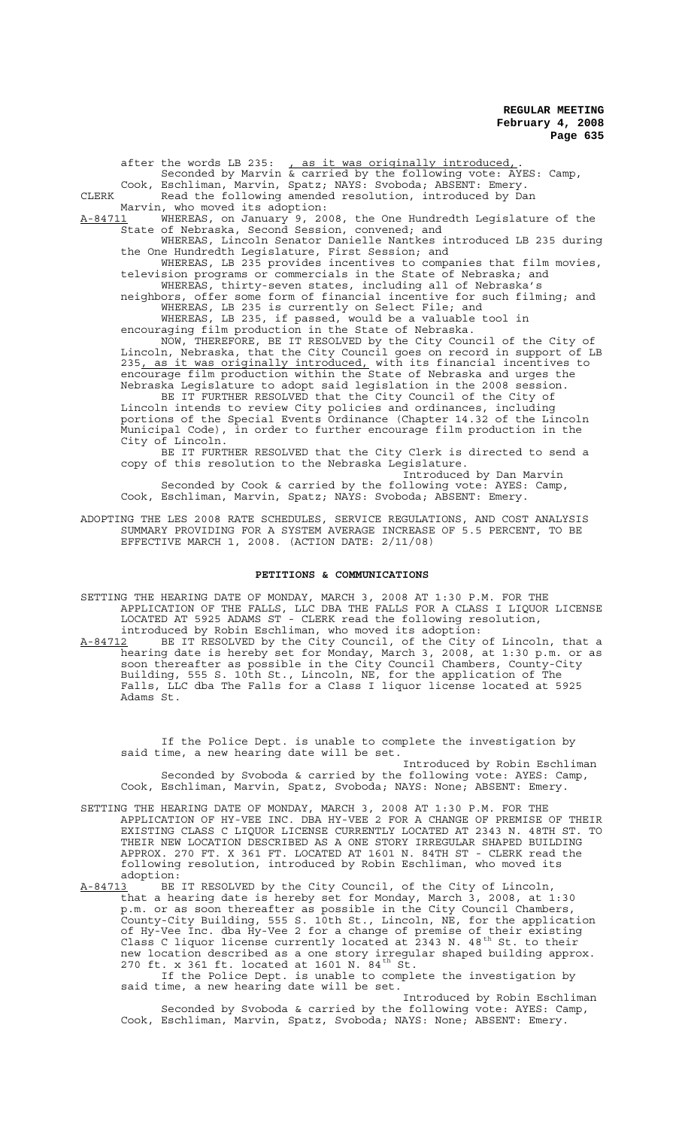after the words LB 235: , as it was originally introduced,. Seconded by Marvin & carried by the following vote: AYES: Camp, Cook, Eschliman, Marvin, Spatz; NAYS: Svoboda; ABSENT: Emery. CLERK Read the following amended resolution, introduced by Dan Marvin, who moved its adoption: <u>A-84711</u> WHEREAS, on January 9, 2008, the One Hundredth Legislature of the State of Nebraska, Second Session, convened; and WHEREAS, Lincoln Senator Danielle Nantkes introduced LB 235 during the One Hundredth Legislature, First Session; and WHEREAS, LB 235 provides incentives to companies that film movies, television programs or commercials in the State of Nebraska; and WHEREAS, thirty-seven states, including all of Nebraska's neighbors, offer some form of financial incentive for such filming; and WHEREAS, LB 235 is currently on Select File; and WHEREAS, LB 235, if passed, would be a valuable tool in encouraging film production in the State of Nebraska. NOW, THEREFORE, BE IT RESOLVED by the City Council of the City of Lincoln, Nebraska, that the City Council goes on record in support of LB 235, as it was originally introduced, with its financial incentives to encourage film production within the State of Nebraska and urges the Nebraska Legislature to adopt said legislation in the 2008 session. BE IT FURTHER RESOLVED that the City Council of the City of Lincoln intends to review City policies and ordinances, including portions of the Special Events Ordinance (Chapter 14.32 of the Lincoln Municipal Code), in order to further encourage film production in the City of Lincoln. BE IT FURTHER RESOLVED that the City Clerk is directed to send a copy of this resolution to the Nebraska Legislature. Introduced by Dan Marvin Seconded by Cook & carried by the following vote: AYES: Camp, Cook, Eschliman, Marvin, Spatz; NAYS: Svoboda; ABSENT: Emery.

ADOPTING THE LES 2008 RATE SCHEDULES, SERVICE REGULATIONS, AND COST ANALYSIS SUMMARY PROVIDING FOR A SYSTEM AVERAGE INCREASE OF 5.5 PERCENT, TO BE EFFECTIVE MARCH 1, 2008. (ACTION DATE: 2/11/08)

## **PETITIONS & COMMUNICATIONS**

SETTING THE HEARING DATE OF MONDAY, MARCH 3, 2008 AT 1:30 P.M. FOR THE APPLICATION OF THE FALLS, LLC DBA THE FALLS FOR A CLASS I LIQUOR LICENSE LOCATED AT 5925 ADAMS ST - CLERK read the following resolution, introduced by Robin Eschliman, who moved its adoption:

A-84712 BE IT RESOLVED by the City Council, of the City of Lincoln, that a hearing date is hereby set for Monday, March 3, 2008, at 1:30 p.m. or as soon thereafter as possible in the City Council Chambers, County-City Building, 555 S. 10th St., Lincoln, NE, for the application of The Falls, LLC dba The Falls for a Class I liquor license located at 5925 Adams St.

If the Police Dept. is unable to complete the investigation by said time, a new hearing date will be set. Introduced by Robin Eschliman Seconded by Svoboda & carried by the following vote: AYES: Camp, Cook, Eschliman, Marvin, Spatz, Svoboda; NAYS: None; ABSENT: Emery.

SETTING THE HEARING DATE OF MONDAY, MARCH 3, 2008 AT 1:30 P.M. FOR THE APPLICATION OF HY-VEE INC. DBA HY-VEE 2 FOR A CHANGE OF PREMISE OF THEIR EXISTING CLASS C LIQUOR LICENSE CURRENTLY LOCATED AT 2343 N. 48TH ST. TO THEIR NEW LOCATION DESCRIBED AS A ONE STORY IRREGULAR SHAPED BUILDING APPROX. 270 FT. X 361 FT. LOCATED AT 1601 N. 84TH ST - CLERK read the following resolution, introduced by Robin Eschliman, who moved its adoption:<br><u>A-84713</u> BE

BE IT RESOLVED by the City Council, of the City of Lincoln, that a hearing date is hereby set for Monday, March 3, 2008, at 1:30 p.m. or as soon thereafter as possible in the City Council Chambers, County-City Building, 555 S. 10th St., Lincoln, NE, for the application of Hy-Vee Inc. dba Hy-Vee 2 for a change of premise of their existing Class C liquor license currently located at 2343 N. 48<sup>th</sup> St. to their new location described as a one story irregular shaped building approx. 270 ft. x 361 ft. located at 1601 N.  $84^{th}$  St.

If the Police Dept. is unable to complete the investigation by said time, a new hearing date will be set.

Introduced by Robin Eschliman Seconded by Svoboda & carried by the following vote: AYES: Camp, Cook, Eschliman, Marvin, Spatz, Svoboda; NAYS: None; ABSENT: Emery.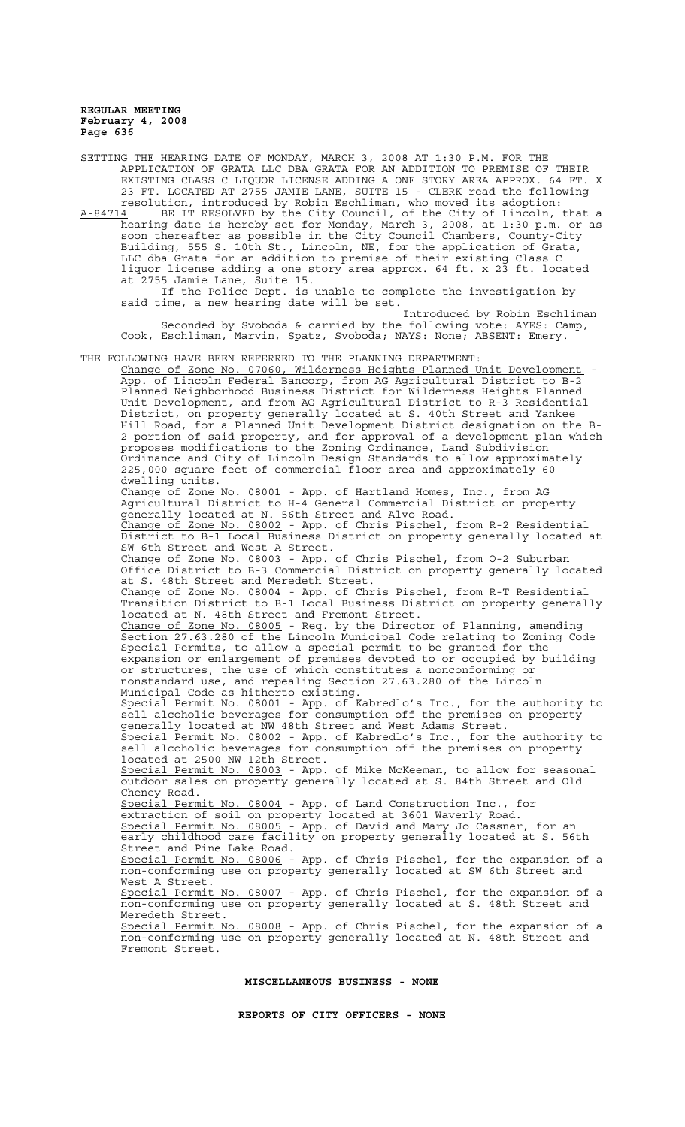SETTING THE HEARING DATE OF MONDAY, MARCH 3, 2008 AT 1:30 P.M. FOR THE APPLICATION OF GRATA LLC DBA GRATA FOR AN ADDITION TO PREMISE OF THEIR EXISTING CLASS C LIQUOR LICENSE ADDING A ONE STORY AREA APPROX. 64 FT. X 23 FT. LOCATED AT 2755 JAMIE LANE, SUITE 15 - CLERK read the following resolution, introduced by Robin Eschliman, who moved its adoption: A-84714 BE IT RESOLVED by the City Council, of the City of Lincoln, that a hearing date is hereby set for Monday, March 3, 2008, at 1:30 p.m. or as soon thereafter as possible in the City Council Chambers, County-City Building, 555 S. 10th St., Lincoln, NE, for the application of Grata, LLC dba Grata for an addition to premise of their existing Class C liquor license adding a one story area approx. 64 ft. x 23 ft. located at 2755 Jamie Lane, Suite 15. If the Police Dept. is unable to complete the investigation by said time, a new hearing date will be set. Introduced by Robin Eschliman Seconded by Svoboda & carried by the following vote: AYES: Camp, Cook, Eschliman, Marvin, Spatz, Svoboda; NAYS: None; ABSENT: Emery. THE FOLLOWING HAVE BEEN REFERRED TO THE PLANNING DEPARTMENT: Change of Zone No. 07060, Wilderness Heights Planned Unit Development - App. of Lincoln Federal Bancorp, from AG Agricultural District to B-2 Planned Neighborhood Business District for Wilderness Heights Planned Unit Development, and from AG Agricultural District to R-3 Residential District, on property generally located at S. 40th Street and Yankee Hill Road, for a Planned Unit Development District designation on the B-2 portion of said property, and for approval of a development plan which proposes modifications to the Zoning Ordinance, Land Subdivision Ordinance and City of Lincoln Design Standards to allow approximately 225,000 square feet of commercial floor area and approximately 60 dwelling units. Change of Zone No. 08001 - App. of Hartland Homes, Inc., from AG Agricultural District to H-4 General Commercial District on property generally located at N. 56th Street and Alvo Road. Change of Zone No. 08002 - App. of Chris Pischel, from R-2 Residential District to B-1 Local Business District on property generally located at SW 6th Street and West A Street. Change of Zone No. 08003 - App. of Chris Pischel, from O-2 Suburban Office District to B-3 Commercial District on property generally located at S. 48th Street and Meredeth Street. Change of Zone No. 08004 - App. of Chris Pischel, from R-T Residential Transition District to B-1 Local Business District on property generally located at N. 48th Street and Fremont Street. Change of Zone No. 08005 - Req. by the Director of Planning, amending Section 27.63.280 of the Lincoln Municipal Code relating to Zoning Code Special Permits, to allow a special permit to be granted for the expansion or enlargement of premises devoted to or occupied by building or structures, the use of which constitutes a nonconforming or nonstandard use, and repealing Section 27.63.280 of the Lincoln Municipal Code as hitherto existing. Special Permit No. 08001 - App. of Kabredlo's Inc., for the authority to sell alcoholic beverages for consumption off the premises on property generally located at NW 48th Street and West Adams Street. Special Permit No. 08002 - App. of Kabredlo's Inc., for the authority to sell alcoholic beverages for consumption off the premises on property located at 2500 NW 12th Street. Special Permit No. 08003 - App. of Mike McKeeman, to allow for seasonal outdoor sales on property generally located at S. 84th Street and Old Cheney Road. Special Permit No. 08004 - App. of Land Construction Inc., for extraction of soil on property located at 3601 Waverly Road. Special Permit No. 08005 - App. of David and Mary Jo Cassner, for an early childhood care facility on property generally located at S. 56th Street and Pine Lake Road. Special Permit No. 08006 - App. of Chris Pischel, for the expansion of a non-conforming use on property generally located at SW 6th Street and West A Street. Special Permit No. 08007 - App. of Chris Pischel, for the expansion of a non-conforming use on property generally located at S. 48th Street and Meredeth Street. Special Permit No. 08008 - App. of Chris Pischel, for the expansion of a non-conforming use on property generally located at N. 48th Street and Fremont Street.

**REPORTS OF CITY OFFICERS - NONE**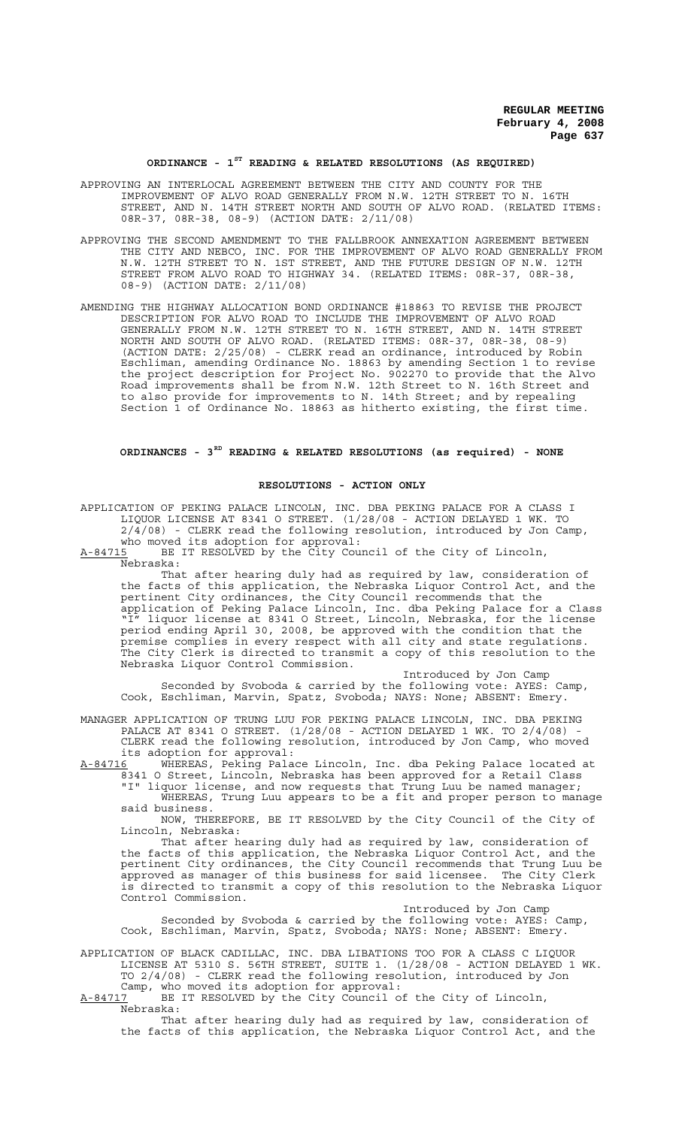# **ORDINANCE - 1ST READING & RELATED RESOLUTIONS (AS REQUIRED)**

APPROVING AN INTERLOCAL AGREEMENT BETWEEN THE CITY AND COUNTY FOR THE IMPROVEMENT OF ALVO ROAD GENERALLY FROM N.W. 12TH STREET TO N. 16TH STREET, AND N. 14TH STREET NORTH AND SOUTH OF ALVO ROAD. (RELATED ITEMS: 08R-37, 08R-38, 08-9) (ACTION DATE: 2/11/08)

- APPROVING THE SECOND AMENDMENT TO THE FALLBROOK ANNEXATION AGREEMENT BETWEEN THE CITY AND NEBCO, INC. FOR THE IMPROVEMENT OF ALVO ROAD GENERALLY FROM N.W. 12TH STREET TO N. 1ST STREET, AND THE FUTURE DESIGN OF N.W. 12TH STREET FROM ALVO ROAD TO HIGHWAY 34. (RELATED ITEMS: 08R-37, 08R-38, 08-9) (ACTION DATE: 2/11/08)
- AMENDING THE HIGHWAY ALLOCATION BOND ORDINANCE #18863 TO REVISE THE PROJECT DESCRIPTION FOR ALVO ROAD TO INCLUDE THE IMPROVEMENT OF ALVO ROAD GENERALLY FROM N.W. 12TH STREET TO N. 16TH STREET, AND N. 14TH STREET NORTH AND SOUTH OF ALVO ROAD. (RELATED ITEMS: 08R-37, 08R-38, 08-9) (ACTION DATE: 2/25/08) - CLERK read an ordinance, introduced by Robin Eschliman, amending Ordinance No. 18863 by amending Section 1 to revise the project description for Project No. 902270 to provide that the Alvo Road improvements shall be from N.W. 12th Street to N. 16th Street and to also provide for improvements to N. 14th Street; and by repealing Section 1 of Ordinance No. 18863 as hitherto existing, the first time.

## **ORDINANCES - 3RD READING & RELATED RESOLUTIONS (as required) - NONE**

#### **RESOLUTIONS - ACTION ONLY**

APPLICATION OF PEKING PALACE LINCOLN, INC. DBA PEKING PALACE FOR A CLASS I LIQUOR LICENSE AT 8341 O STREET. (1/28/08 - ACTION DELAYED 1 WK. TO 2/4/08) - CLERK read the following resolution, introduced by Jon Camp, who moved its adoption for approval:

A-84715 BE IT RESOLVED by the City Council of the City of Lincoln, Nebraska:

That after hearing duly had as required by law, consideration of the facts of this application, the Nebraska Liquor Control Act, and the pertinent City ordinances, the City Council recommends that the application of Peking Palace Lincoln, Inc. dba Peking Palace for a Class "I" liquor license at 8341 O Street, Lincoln, Nebraska, for the license period ending April 30, 2008, be approved with the condition that the premise complies in every respect with all city and state regulations. The City Clerk is directed to transmit a copy of this resolution to the Nebraska Liquor Control Commission.

Introduced by Jon Camp Seconded by Svoboda & carried by the following vote: AYES: Camp, Cook, Eschliman, Marvin, Spatz, Svoboda; NAYS: None; ABSENT: Emery.

MANAGER APPLICATION OF TRUNG LUU FOR PEKING PALACE LINCOLN, INC. DBA PEKING PALACE AT 8341 O STREET. (1/28/08 - ACTION DELAYED 1 WK. TO 2/4/08) - CLERK read the following resolution, introduced by Jon Camp, who moved

its adoption for approval:<br>A-84716 WHEREAS, Peking Pala A-84716 MHEREAS, Peking Palace Lincoln, Inc. dba Peking Palace located at 8341 O Street, Lincoln, Nebraska has been approved for a Retail Class "I" liquor license, and now requests that Trung Luu be named manager; WHEREAS, Trung Luu appears to be a fit and proper person to manage

said business. NOW, THEREFORE, BE IT RESOLVED by the City Council of the City of Lincoln, Nebraska:

That after hearing duly had as required by law, consideration of the facts of this application, the Nebraska Liquor Control Act, and the pertinent City ordinances, the City Council recommends that Trung Luu be approved as manager of this business for said licensee. The City Clerk is directed to transmit a copy of this resolution to the Nebraska Liquor Control Commission.

Introduced by Jon Camp Seconded by Svoboda & carried by the following vote: AYES: Camp, Cook, Eschliman, Marvin, Spatz, Svoboda; NAYS: None; ABSENT: Emery.

APPLICATION OF BLACK CADILLAC, INC. DBA LIBATIONS TOO FOR A CLASS C LIQUOR LICENSE AT 5310 S. 56TH STREET, SUITE 1. (1/28/08 - ACTION DELAYED 1 WK. TO 2/4/08) - CLERK read the following resolution, introduced by Jon Camp, who moved its adoption for approval:

A-84717 BE IT RESOLVED by the City Council of the City of Lincoln,  $A-84717$  BE

That after hearing duly had as required by law, consideration of the facts of this application, the Nebraska Liquor Control Act, and the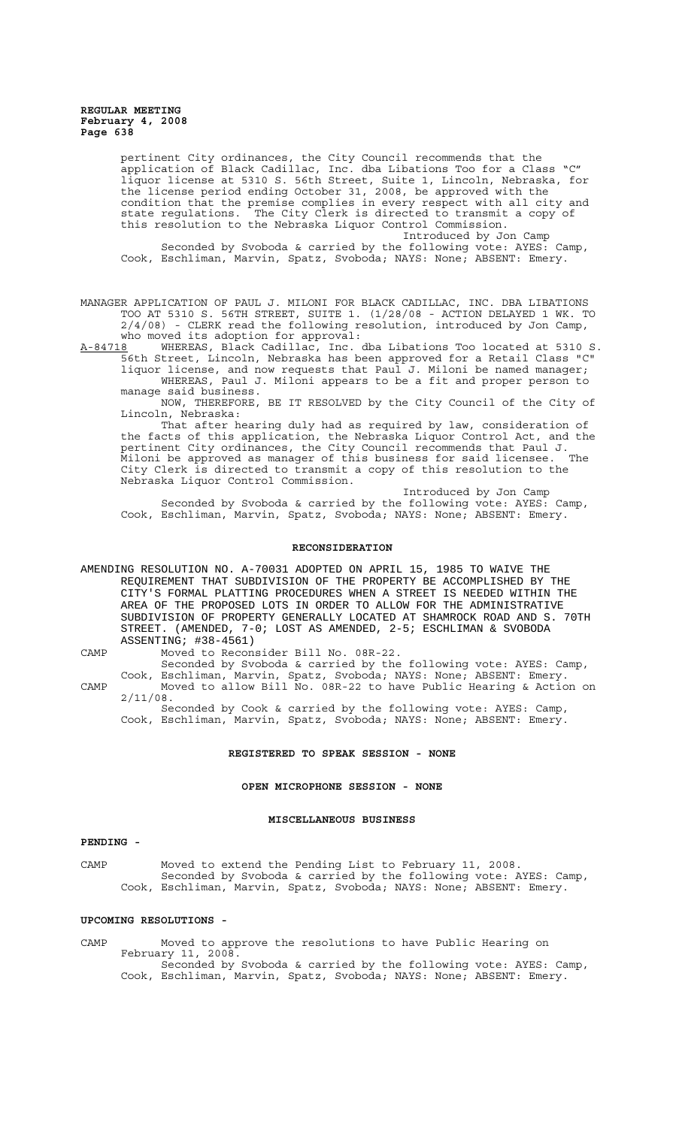pertinent City ordinances, the City Council recommends that the application of Black Cadillac, Inc. dba Libations Too for a Class "C" liquor license at 5310 S. 56th Street, Suite 1, Lincoln, Nebraska, for the license period ending October 31, 2008, be approved with the condition that the premise complies in every respect with all city and<br>state regulations. The City Clerk is directed to transmit a copy of state regulations. The City Clerk is directed to transmit a copy of this resolution to the Nebraska Liquor Control Commission. Introduced by Jon Camp

Seconded by Svoboda & carried by the following vote: AYES: Camp, Cook, Eschliman, Marvin, Spatz, Svoboda; NAYS: None; ABSENT: Emery.

MANAGER APPLICATION OF PAUL J. MILONI FOR BLACK CADILLAC, INC. DBA LIBATIONS TOO AT 5310 S. 56TH STREET, SUITE 1. (1/28/08 - ACTION DELAYED 1 WK. TO 2/4/08) - CLERK read the following resolution, introduced by Jon Camp,

who moved its adoption for approval:<br>A-84718 WHEREAS, Black Cadillac, Inc. A-84718 WHEREAS, Black Cadillac, Inc. dba Libations Too located at 5310 S. 56th Street, Lincoln, Nebraska has been approved for a Retail Class "C" liquor license, and now requests that Paul J. Miloni be named manager;

WHEREAS, Paul J. Miloni appears to be a fit and proper person to manage said business. NOW, THEREFORE, BE IT RESOLVED by the City Council of the City of

Lincoln, Nebraska:

That after hearing duly had as required by law, consideration of the facts of this application, the Nebraska Liquor Control Act, and the pertinent City ordinances, the City Council recommends that Paul J. Miloni be approved as manager of this business for said licensee. The City Clerk is directed to transmit a copy of this resolution to the Nebraska Liquor Control Commission.

Introduced by Jon Camp Seconded by Svoboda & carried by the following vote: AYES: Camp, Cook, Eschliman, Marvin, Spatz, Svoboda; NAYS: None; ABSENT: Emery.

#### **RECONSIDERATION**

AMENDING RESOLUTION NO. A-70031 ADOPTED ON APRIL 15, 1985 TO WAIVE THE REQUIREMENT THAT SUBDIVISION OF THE PROPERTY BE ACCOMPLISHED BY THE CITY'S FORMAL PLATTING PROCEDURES WHEN A STREET IS NEEDED WITHIN THE AREA OF THE PROPOSED LOTS IN ORDER TO ALLOW FOR THE ADMINISTRATIVE SUBDIVISION OF PROPERTY GENERALLY LOCATED AT SHAMROCK ROAD AND S. 70TH STREET. (AMENDED, 7-0; LOST AS AMENDED, 2-5; ESCHLIMAN & SVOBODA ASSENTING; #38-4561)

CAMP Moved to Reconsider Bill No. 08R-22.

Seconded by Svoboda & carried by the following vote: AYES: Camp, Cook, Eschliman, Marvin, Spatz, Svoboda; NAYS: None; ABSENT: Emery.

CAMP Moved to allow Bill No. 08R-22 to have Public Hearing & Action on 2/11/08.

Seconded by Cook & carried by the following vote: AYES: Camp, Cook, Eschliman, Marvin, Spatz, Svoboda; NAYS: None; ABSENT: Emery.

# **REGISTERED TO SPEAK SESSION - NONE**

# **OPEN MICROPHONE SESSION - NONE**

#### **MISCELLANEOUS BUSINESS**

### **PENDING -**

CAMP Moved to extend the Pending List to February 11, 2008. Seconded by Svoboda & carried by the following vote: AYES: Camp, Cook, Eschliman, Marvin, Spatz, Svoboda; NAYS: None; ABSENT: Emery.

### **UPCOMING RESOLUTIONS -**

CAMP Moved to approve the resolutions to have Public Hearing on February 11, 2008. Seconded by Svoboda & carried by the following vote: AYES: Camp, Cook, Eschliman, Marvin, Spatz, Svoboda; NAYS: None; ABSENT: Emery.